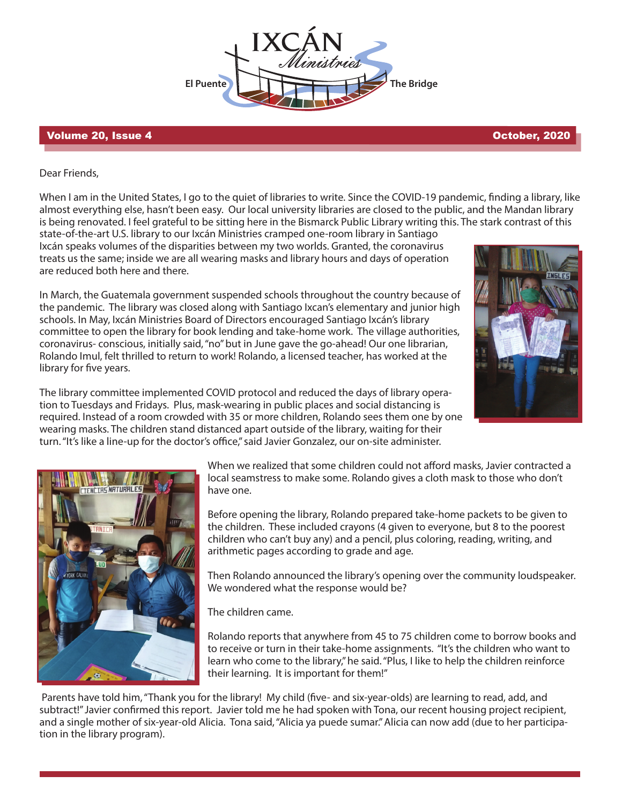**El Puente The Bridge** 

## Volume 20, Issue 4 October, 2020

Dear Friends,

When I am in the United States, I go to the quiet of libraries to write. Since the COVID-19 pandemic, finding a library, like almost everything else, hasn't been easy. Our local university libraries are closed to the public, and the Mandan library is being renovated. I feel grateful to be sitting here in the Bismarck Public Library writing this. The stark contrast of this

state-of-the-art U.S. library to our Ixcán Ministries cramped one-room library in Santiago Ixcán speaks volumes of the disparities between my two worlds. Granted, the coronavirus treats us the same; inside we are all wearing masks and library hours and days of operation are reduced both here and there.

In March, the Guatemala government suspended schools throughout the country because of the pandemic. The library was closed along with Santiago Ixcan's elementary and junior high schools. In May, Ixcán Ministries Board of Directors encouraged Santiago Ixcán's library committee to open the library for book lending and take-home work. The village authorities, coronavirus- conscious, initially said, "no" but in June gave the go-ahead! Our one librarian, Rolando Imul, felt thrilled to return to work! Rolando, a licensed teacher, has worked at the library for five years.



The library committee implemented COVID protocol and reduced the days of library operation to Tuesdays and Fridays. Plus, mask-wearing in public places and social distancing is required. Instead of a room crowded with 35 or more children, Rolando sees them one by one wearing masks. The children stand distanced apart outside of the library, waiting for their turn. "It's like a line-up for the doctor's office," said Javier Gonzalez, our on-site administer.



When we realized that some children could not afford masks, Javier contracted a local seamstress to make some. Rolando gives a cloth mask to those who don't have one.

Before opening the library, Rolando prepared take-home packets to be given to the children. These included crayons (4 given to everyone, but 8 to the poorest children who can't buy any) and a pencil, plus coloring, reading, writing, and arithmetic pages according to grade and age.

Then Rolando announced the library's opening over the community loudspeaker. We wondered what the response would be?

The children came.

Rolando reports that anywhere from 45 to 75 children come to borrow books and to receive or turn in their take-home assignments. "It's the children who want to learn who come to the library," he said. "Plus, I like to help the children reinforce their learning. It is important for them!"

Parents have told him, "Thank you for the library! My child (five- and six-year-olds) are learning to read, add, and subtract!" Javier confirmed this report. Javier told me he had spoken with Tona, our recent housing project recipient, and a single mother of six-year-old Alicia. Tona said, "Alicia ya puede sumar." Alicia can now add (due to her participation in the library program).